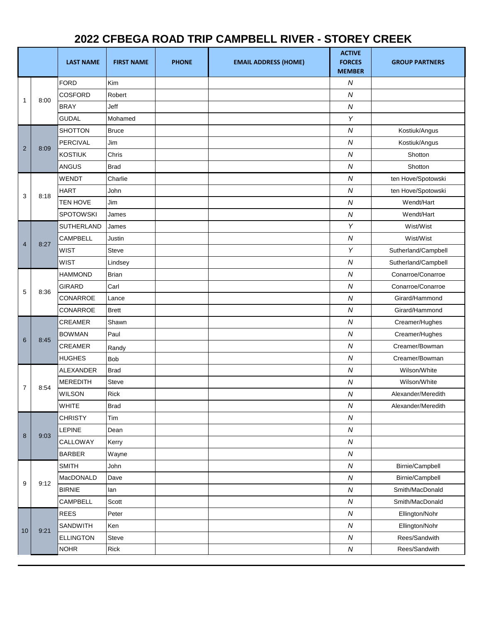## **2022 CFBEGA ROAD TRIP CAMPBELL RIVER - STOREY CREEK**

|                |      | <b>LAST NAME</b>  | <b>FIRST NAME</b> | <b>PHONE</b> | <b>EMAIL ADDRESS (HOME)</b> | <b>ACTIVE</b><br><b>FORCES</b><br><b>MEMBER</b> | <b>GROUP PARTNERS</b> |
|----------------|------|-------------------|-------------------|--------------|-----------------------------|-------------------------------------------------|-----------------------|
| 1              |      | <b>FORD</b>       | Kim               |              |                             | ${\cal N}$                                      |                       |
|                | 8:00 | COSFORD           | Robert            |              |                             | ${\cal N}$                                      |                       |
|                |      | <b>BRAY</b>       | Jeff              |              |                             | ${\cal N}$                                      |                       |
|                |      | <b>GUDAL</b>      | Mohamed           |              |                             | Y                                               |                       |
| $\overline{2}$ | 8:09 | <b>SHOTTON</b>    | <b>Bruce</b>      |              |                             | ${\cal N}$                                      | Kostiuk/Angus         |
|                |      | PERCIVAL          | Jim               |              |                             | ${\cal N}$                                      | Kostiuk/Angus         |
|                |      | KOSTIUK           | Chris             |              |                             | ${\cal N}$                                      | Shotton               |
|                |      | <b>ANGUS</b>      | <b>Brad</b>       |              |                             | ${\cal N}$                                      | Shotton               |
| 3              | 8:18 | <b>WENDT</b>      | Charlie           |              |                             | ${\cal N}$                                      | ten Hove/Spotowski    |
|                |      | <b>HART</b>       | John              |              |                             | ${\cal N}$                                      | ten Hove/Spotowski    |
|                |      | <b>TEN HOVE</b>   | Jim               |              |                             | ${\cal N}$                                      | Wendt/Hart            |
|                |      | <b>SPOTOWSKI</b>  | James             |              |                             | ${\cal N}$                                      | Wendt/Hart            |
|                |      | <b>SUTHERLAND</b> | James             |              |                             | Y                                               | Wist/Wist             |
| $\overline{4}$ | 8:27 | <b>CAMPBELL</b>   | Justin            |              |                             | ${\cal N}$                                      | Wist/Wist             |
|                |      | <b>WIST</b>       | Steve             |              |                             | Y                                               | Sutherland/Campbell   |
|                |      | <b>WIST</b>       | Lindsey           |              |                             | ${\cal N}$                                      | Sutherland/Campbell   |
|                |      | <b>HAMMOND</b>    | <b>Brian</b>      |              |                             | ${\cal N}$                                      | Conarroe/Conarroe     |
| 5              | 8:36 | <b>GIRARD</b>     | Carl              |              |                             | ${\cal N}$                                      | Conarroe/Conarroe     |
|                |      | CONARROE          | Lance             |              |                             | ${\cal N}$                                      | Girard/Hammond        |
|                |      | CONARROE          | <b>Brett</b>      |              |                             | ${\cal N}$                                      | Girard/Hammond        |
|                |      | <b>CREAMER</b>    | Shawn             |              |                             | ${\cal N}$                                      | Creamer/Hughes        |
| 6              | 8:45 | <b>BOWMAN</b>     | Paul              |              |                             | ${\cal N}$                                      | Creamer/Hughes        |
|                |      | <b>CREAMER</b>    | Randy             |              |                             | ${\cal N}$                                      | Creamer/Bowman        |
|                |      | <b>HUGHES</b>     | <b>Bob</b>        |              |                             | ${\cal N}$                                      | Creamer/Bowman        |
| $\overline{7}$ | 8:54 | ALEXANDER         | <b>Brad</b>       |              |                             | ${\cal N}$                                      | Wilson/White          |
|                |      | <b>MEREDITH</b>   | Steve             |              |                             | ${\cal N}$                                      | Wilson/White          |
|                |      | <b>WILSON</b>     | Rick              |              |                             | ${\cal N}$                                      | Alexander/Meredith    |
|                |      | WHITE             | <b>Brad</b>       |              |                             | ${\cal N}$                                      | Alexander/Meredith    |
| 8              | 9:03 | <b>CHRISTY</b>    | Tim               |              |                             | ${\cal N}$                                      |                       |
|                |      | <b>LEPINE</b>     | Dean              |              |                             | ${\cal N}$                                      |                       |
|                |      | CALLOWAY          | Kerry             |              |                             | ${\cal N}$                                      |                       |
|                |      | <b>BARBER</b>     | Wayne             |              |                             | ${\cal N}$                                      |                       |
| 9              | 9:12 | <b>SMITH</b>      | John              |              |                             | ${\cal N}$                                      | Birnie/Campbell       |
|                |      | MacDONALD         | Dave              |              |                             | ${\cal N}$                                      | Birnie/Campbell       |
|                |      | <b>BIRNIE</b>     | lan               |              |                             | ${\cal N}$                                      | Smith/MacDonald       |
|                |      | <b>CAMPBELL</b>   | Scott             |              |                             | ${\cal N}$                                      | Smith/MacDonald       |
| 10             |      | <b>REES</b>       | Peter             |              |                             | ${\cal N}$                                      | Ellington/Nohr        |
|                | 9:21 | SANDWITH          | Ken               |              |                             | ${\cal N}$                                      | Ellington/Nohr        |
|                |      | <b>ELLINGTON</b>  | Steve             |              |                             | ${\cal N}$                                      | Rees/Sandwith         |
|                |      | <b>NOHR</b>       | Rick              |              |                             | ${\cal N}$                                      | Rees/Sandwith         |